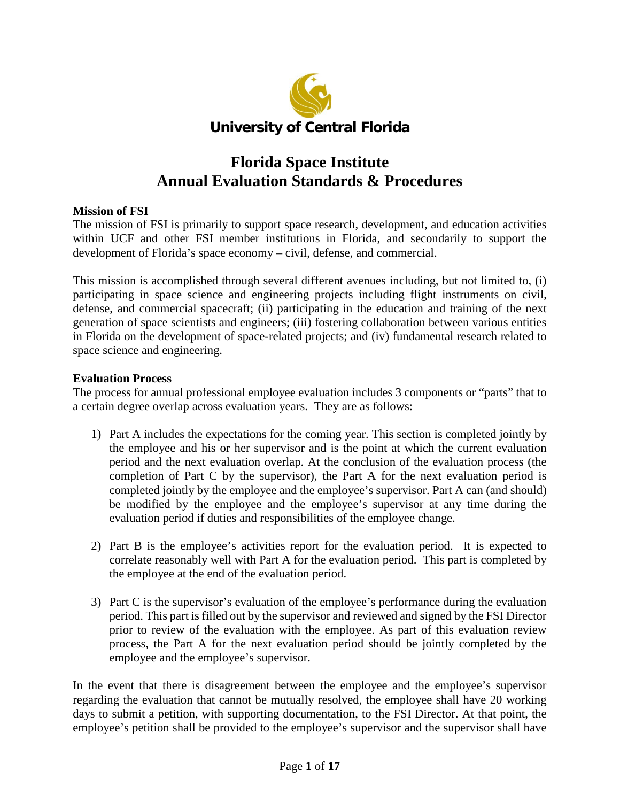

# **Florida Space Institute Annual Evaluation Standards & Procedures**

## **Mission of FSI**

The mission of FSI is primarily to support space research, development, and education activities within UCF and other FSI member institutions in Florida, and secondarily to support the development of Florida's space economy – civil, defense, and commercial.

This mission is accomplished through several different avenues including, but not limited to, (i) participating in space science and engineering projects including flight instruments on civil, defense, and commercial spacecraft; (ii) participating in the education and training of the next generation of space scientists and engineers; (iii) fostering collaboration between various entities in Florida on the development of space-related projects; and (iv) fundamental research related to space science and engineering.

## **Evaluation Process**

The process for annual professional employee evaluation includes 3 components or "parts" that to a certain degree overlap across evaluation years. They are as follows:

- 1) Part A includes the expectations for the coming year. This section is completed jointly by the employee and his or her supervisor and is the point at which the current evaluation period and the next evaluation overlap. At the conclusion of the evaluation process (the completion of Part C by the supervisor), the Part A for the next evaluation period is completed jointly by the employee and the employee's supervisor. Part A can (and should) be modified by the employee and the employee's supervisor at any time during the evaluation period if duties and responsibilities of the employee change.
- 2) Part B is the employee's activities report for the evaluation period. It is expected to correlate reasonably well with Part A for the evaluation period. This part is completed by the employee at the end of the evaluation period.
- 3) Part C is the supervisor's evaluation of the employee's performance during the evaluation period. This part is filled out by the supervisor and reviewed and signed by the FSI Director prior to review of the evaluation with the employee. As part of this evaluation review process, the Part A for the next evaluation period should be jointly completed by the employee and the employee's supervisor.

In the event that there is disagreement between the employee and the employee's supervisor regarding the evaluation that cannot be mutually resolved, the employee shall have 20 working days to submit a petition, with supporting documentation, to the FSI Director. At that point, the employee's petition shall be provided to the employee's supervisor and the supervisor shall have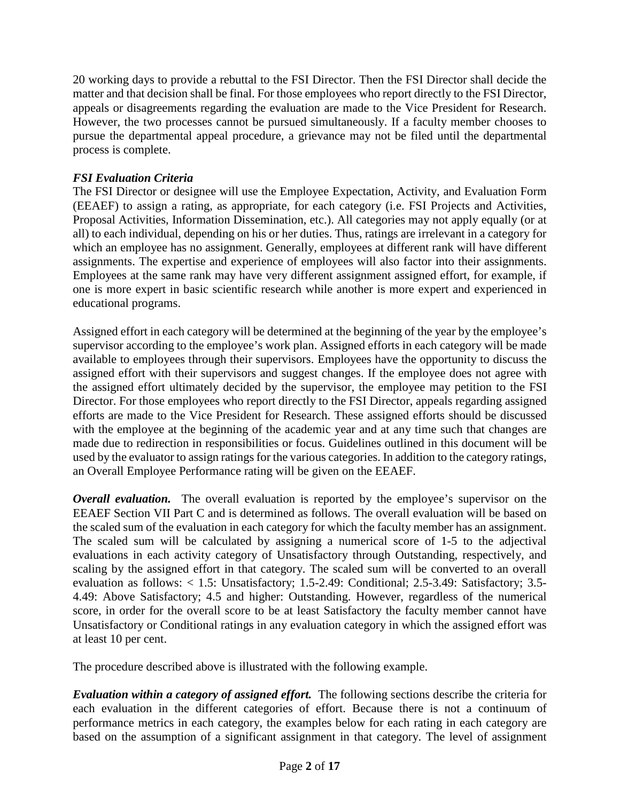20 working days to provide a rebuttal to the FSI Director. Then the FSI Director shall decide the matter and that decision shall be final. For those employees who report directly to the FSI Director, appeals or disagreements regarding the evaluation are made to the Vice President for Research. However, the two processes cannot be pursued simultaneously. If a faculty member chooses to pursue the departmental appeal procedure, a grievance may not be filed until the departmental process is complete.

## *FSI Evaluation Criteria*

The FSI Director or designee will use the Employee Expectation, Activity, and Evaluation Form (EEAEF) to assign a rating, as appropriate, for each category (i.e. FSI Projects and Activities, Proposal Activities, Information Dissemination, etc.). All categories may not apply equally (or at all) to each individual, depending on his or her duties. Thus, ratings are irrelevant in a category for which an employee has no assignment. Generally, employees at different rank will have different assignments. The expertise and experience of employees will also factor into their assignments. Employees at the same rank may have very different assignment assigned effort, for example, if one is more expert in basic scientific research while another is more expert and experienced in educational programs.

Assigned effort in each category will be determined at the beginning of the year by the employee's supervisor according to the employee's work plan. Assigned efforts in each category will be made available to employees through their supervisors. Employees have the opportunity to discuss the assigned effort with their supervisors and suggest changes. If the employee does not agree with the assigned effort ultimately decided by the supervisor, the employee may petition to the FSI Director. For those employees who report directly to the FSI Director, appeals regarding assigned efforts are made to the Vice President for Research. These assigned efforts should be discussed with the employee at the beginning of the academic year and at any time such that changes are made due to redirection in responsibilities or focus. Guidelines outlined in this document will be used by the evaluator to assign ratings for the various categories. In addition to the category ratings, an Overall Employee Performance rating will be given on the EEAEF.

*Overall evaluation.* The overall evaluation is reported by the employee's supervisor on the EEAEF Section VII Part C and is determined as follows. The overall evaluation will be based on the scaled sum of the evaluation in each category for which the faculty member has an assignment. The scaled sum will be calculated by assigning a numerical score of 1-5 to the adjectival evaluations in each activity category of Unsatisfactory through Outstanding, respectively, and scaling by the assigned effort in that category. The scaled sum will be converted to an overall evaluation as follows: < 1.5: Unsatisfactory; 1.5-2.49: Conditional; 2.5-3.49: Satisfactory; 3.5- 4.49: Above Satisfactory; 4.5 and higher: Outstanding. However, regardless of the numerical score, in order for the overall score to be at least Satisfactory the faculty member cannot have Unsatisfactory or Conditional ratings in any evaluation category in which the assigned effort was at least 10 per cent.

The procedure described above is illustrated with the following example.

*Evaluation within a category of assigned effort.* The following sections describe the criteria for each evaluation in the different categories of effort. Because there is not a continuum of performance metrics in each category, the examples below for each rating in each category are based on the assumption of a significant assignment in that category. The level of assignment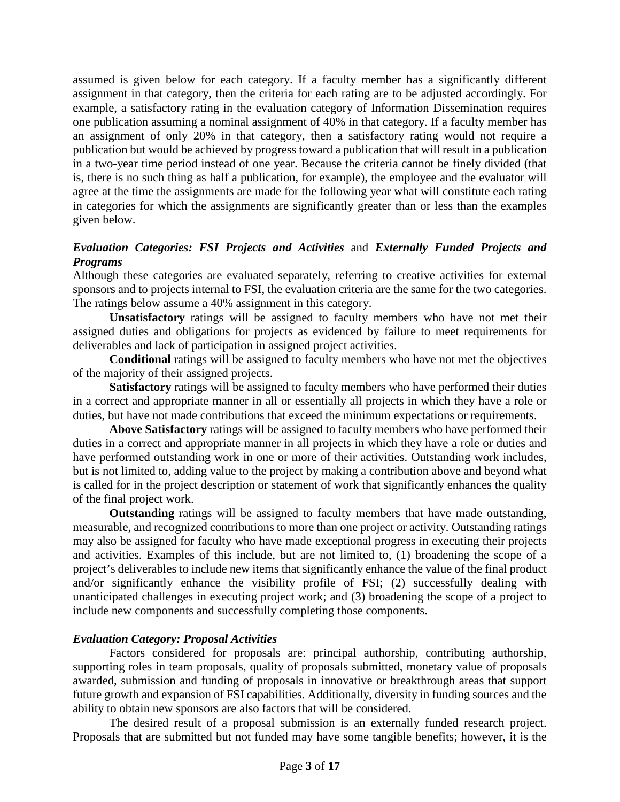assumed is given below for each category. If a faculty member has a significantly different assignment in that category, then the criteria for each rating are to be adjusted accordingly. For example, a satisfactory rating in the evaluation category of Information Dissemination requires one publication assuming a nominal assignment of 40% in that category. If a faculty member has an assignment of only 20% in that category, then a satisfactory rating would not require a publication but would be achieved by progress toward a publication that will result in a publication in a two-year time period instead of one year. Because the criteria cannot be finely divided (that is, there is no such thing as half a publication, for example), the employee and the evaluator will agree at the time the assignments are made for the following year what will constitute each rating in categories for which the assignments are significantly greater than or less than the examples given below.

## *Evaluation Categories: FSI Projects and Activities* and *Externally Funded Projects and Programs*

Although these categories are evaluated separately, referring to creative activities for external sponsors and to projects internal to FSI, the evaluation criteria are the same for the two categories. The ratings below assume a 40% assignment in this category.

**Unsatisfactory** ratings will be assigned to faculty members who have not met their assigned duties and obligations for projects as evidenced by failure to meet requirements for deliverables and lack of participation in assigned project activities.

**Conditional** ratings will be assigned to faculty members who have not met the objectives of the majority of their assigned projects.

**Satisfactory** ratings will be assigned to faculty members who have performed their duties in a correct and appropriate manner in all or essentially all projects in which they have a role or duties, but have not made contributions that exceed the minimum expectations or requirements.

**Above Satisfactory** ratings will be assigned to faculty members who have performed their duties in a correct and appropriate manner in all projects in which they have a role or duties and have performed outstanding work in one or more of their activities. Outstanding work includes, but is not limited to, adding value to the project by making a contribution above and beyond what is called for in the project description or statement of work that significantly enhances the quality of the final project work.

**Outstanding** ratings will be assigned to faculty members that have made outstanding, measurable, and recognized contributions to more than one project or activity. Outstanding ratings may also be assigned for faculty who have made exceptional progress in executing their projects and activities. Examples of this include, but are not limited to, (1) broadening the scope of a project's deliverables to include new items that significantly enhance the value of the final product and/or significantly enhance the visibility profile of FSI; (2) successfully dealing with unanticipated challenges in executing project work; and (3) broadening the scope of a project to include new components and successfully completing those components.

## *Evaluation Category: Proposal Activities*

Factors considered for proposals are: principal authorship, contributing authorship, supporting roles in team proposals, quality of proposals submitted, monetary value of proposals awarded, submission and funding of proposals in innovative or breakthrough areas that support future growth and expansion of FSI capabilities. Additionally, diversity in funding sources and the ability to obtain new sponsors are also factors that will be considered.

The desired result of a proposal submission is an externally funded research project. Proposals that are submitted but not funded may have some tangible benefits; however, it is the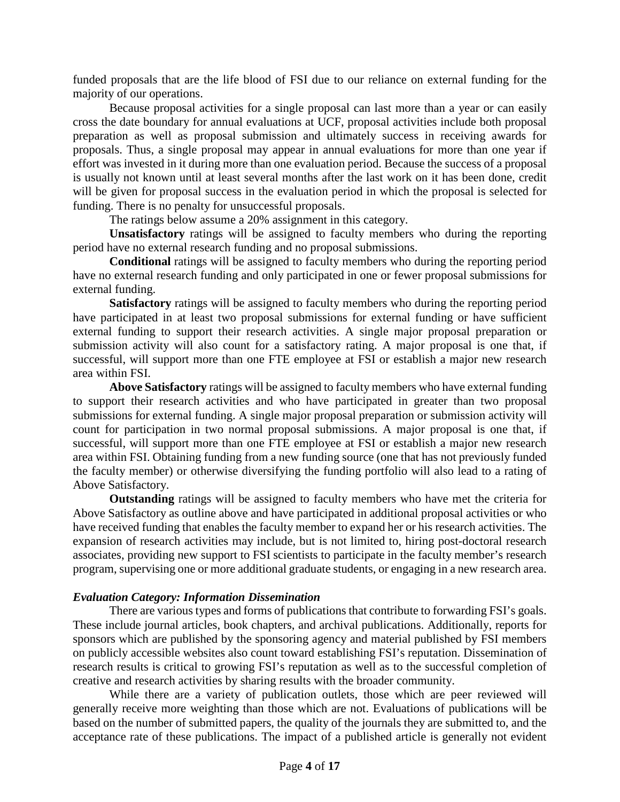funded proposals that are the life blood of FSI due to our reliance on external funding for the majority of our operations.

Because proposal activities for a single proposal can last more than a year or can easily cross the date boundary for annual evaluations at UCF, proposal activities include both proposal preparation as well as proposal submission and ultimately success in receiving awards for proposals. Thus, a single proposal may appear in annual evaluations for more than one year if effort was invested in it during more than one evaluation period. Because the success of a proposal is usually not known until at least several months after the last work on it has been done, credit will be given for proposal success in the evaluation period in which the proposal is selected for funding. There is no penalty for unsuccessful proposals.

The ratings below assume a 20% assignment in this category.

**Unsatisfactory** ratings will be assigned to faculty members who during the reporting period have no external research funding and no proposal submissions.

**Conditional** ratings will be assigned to faculty members who during the reporting period have no external research funding and only participated in one or fewer proposal submissions for external funding.

**Satisfactory** ratings will be assigned to faculty members who during the reporting period have participated in at least two proposal submissions for external funding or have sufficient external funding to support their research activities. A single major proposal preparation or submission activity will also count for a satisfactory rating. A major proposal is one that, if successful, will support more than one FTE employee at FSI or establish a major new research area within FSI.

**Above Satisfactory** ratings will be assigned to faculty members who have external funding to support their research activities and who have participated in greater than two proposal submissions for external funding. A single major proposal preparation or submission activity will count for participation in two normal proposal submissions. A major proposal is one that, if successful, will support more than one FTE employee at FSI or establish a major new research area within FSI. Obtaining funding from a new funding source (one that has not previously funded the faculty member) or otherwise diversifying the funding portfolio will also lead to a rating of Above Satisfactory.

**Outstanding** ratings will be assigned to faculty members who have met the criteria for Above Satisfactory as outline above and have participated in additional proposal activities or who have received funding that enables the faculty member to expand her or his research activities. The expansion of research activities may include, but is not limited to, hiring post-doctoral research associates, providing new support to FSI scientists to participate in the faculty member's research program, supervising one or more additional graduate students, or engaging in a new research area.

#### *Evaluation Category: Information Dissemination*

There are various types and forms of publications that contribute to forwarding FSI's goals. These include journal articles, book chapters, and archival publications. Additionally, reports for sponsors which are published by the sponsoring agency and material published by FSI members on publicly accessible websites also count toward establishing FSI's reputation. Dissemination of research results is critical to growing FSI's reputation as well as to the successful completion of creative and research activities by sharing results with the broader community.

While there are a variety of publication outlets, those which are peer reviewed will generally receive more weighting than those which are not. Evaluations of publications will be based on the number of submitted papers, the quality of the journals they are submitted to, and the acceptance rate of these publications. The impact of a published article is generally not evident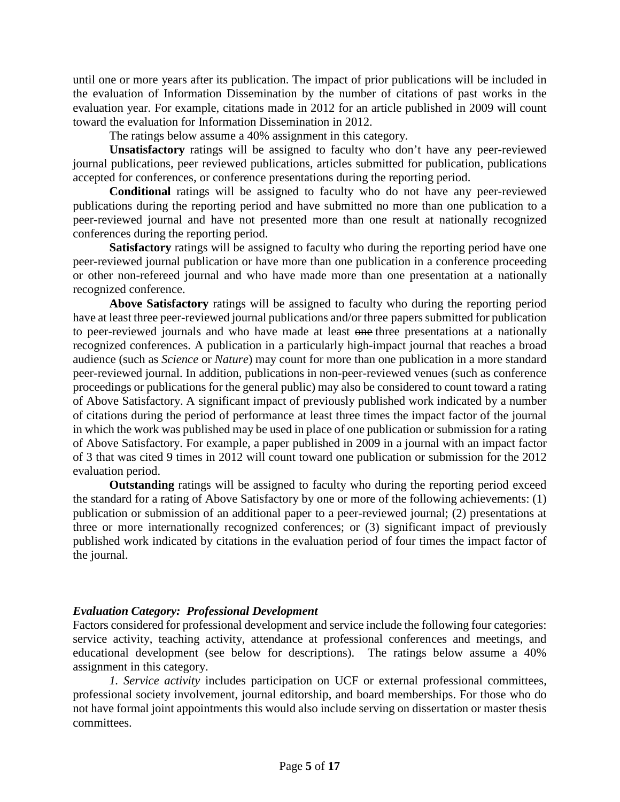until one or more years after its publication. The impact of prior publications will be included in the evaluation of Information Dissemination by the number of citations of past works in the evaluation year. For example, citations made in 2012 for an article published in 2009 will count toward the evaluation for Information Dissemination in 2012.

The ratings below assume a 40% assignment in this category.

**Unsatisfactory** ratings will be assigned to faculty who don't have any peer-reviewed journal publications, peer reviewed publications, articles submitted for publication, publications accepted for conferences, or conference presentations during the reporting period.

**Conditional** ratings will be assigned to faculty who do not have any peer-reviewed publications during the reporting period and have submitted no more than one publication to a peer-reviewed journal and have not presented more than one result at nationally recognized conferences during the reporting period.

**Satisfactory** ratings will be assigned to faculty who during the reporting period have one peer-reviewed journal publication or have more than one publication in a conference proceeding or other non-refereed journal and who have made more than one presentation at a nationally recognized conference.

**Above Satisfactory** ratings will be assigned to faculty who during the reporting period have at least three peer-reviewed journal publications and/or three papers submitted for publication to peer-reviewed journals and who have made at least one three presentations at a nationally recognized conferences. A publication in a particularly high-impact journal that reaches a broad audience (such as *Science* or *Nature*) may count for more than one publication in a more standard peer-reviewed journal. In addition, publications in non-peer-reviewed venues (such as conference proceedings or publications for the general public) may also be considered to count toward a rating of Above Satisfactory. A significant impact of previously published work indicated by a number of citations during the period of performance at least three times the impact factor of the journal in which the work was published may be used in place of one publication or submission for a rating of Above Satisfactory. For example, a paper published in 2009 in a journal with an impact factor of 3 that was cited 9 times in 2012 will count toward one publication or submission for the 2012 evaluation period.

**Outstanding** ratings will be assigned to faculty who during the reporting period exceed the standard for a rating of Above Satisfactory by one or more of the following achievements: (1) publication or submission of an additional paper to a peer-reviewed journal; (2) presentations at three or more internationally recognized conferences; or (3) significant impact of previously published work indicated by citations in the evaluation period of four times the impact factor of the journal.

#### *Evaluation Category: Professional Development*

Factors considered for professional development and service include the following four categories: service activity, teaching activity, attendance at professional conferences and meetings, and educational development (see below for descriptions). The ratings below assume a 40% assignment in this category.

*1. Service activity* includes participation on UCF or external professional committees, professional society involvement, journal editorship, and board memberships. For those who do not have formal joint appointments this would also include serving on dissertation or master thesis committees.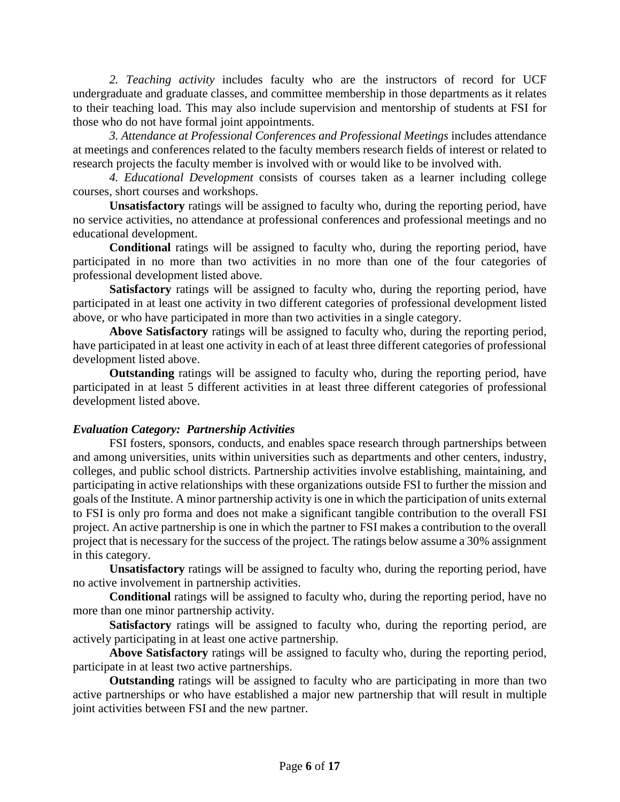*2. Teaching activity* includes faculty who are the instructors of record for UCF undergraduate and graduate classes, and committee membership in those departments as it relates to their teaching load. This may also include supervision and mentorship of students at FSI for those who do not have formal joint appointments.

*3. Attendance at Professional Conferences and Professional Meetings* includes attendance at meetings and conferences related to the faculty members research fields of interest or related to research projects the faculty member is involved with or would like to be involved with.

*4. Educational Development* consists of courses taken as a learner including college courses, short courses and workshops.

**Unsatisfactory** ratings will be assigned to faculty who, during the reporting period, have no service activities, no attendance at professional conferences and professional meetings and no educational development.

**Conditional** ratings will be assigned to faculty who, during the reporting period, have participated in no more than two activities in no more than one of the four categories of professional development listed above.

**Satisfactory** ratings will be assigned to faculty who, during the reporting period, have participated in at least one activity in two different categories of professional development listed above, or who have participated in more than two activities in a single category.

**Above Satisfactory** ratings will be assigned to faculty who, during the reporting period, have participated in at least one activity in each of at least three different categories of professional development listed above.

**Outstanding** ratings will be assigned to faculty who, during the reporting period, have participated in at least 5 different activities in at least three different categories of professional development listed above.

## *Evaluation Category: Partnership Activities*

FSI fosters, sponsors, conducts, and enables space research through partnerships between and among universities, units within universities such as departments and other centers, industry, colleges, and public school districts. Partnership activities involve establishing, maintaining, and participating in active relationships with these organizations outside FSI to further the mission and goals of the Institute. A minor partnership activity is one in which the participation of units external to FSI is only pro forma and does not make a significant tangible contribution to the overall FSI project. An active partnership is one in which the partner to FSI makes a contribution to the overall project that is necessary for the success of the project. The ratings below assume a 30% assignment in this category.

**Unsatisfactory** ratings will be assigned to faculty who, during the reporting period, have no active involvement in partnership activities.

**Conditional** ratings will be assigned to faculty who, during the reporting period, have no more than one minor partnership activity.

**Satisfactory** ratings will be assigned to faculty who, during the reporting period, are actively participating in at least one active partnership.

**Above Satisfactory** ratings will be assigned to faculty who, during the reporting period, participate in at least two active partnerships.

**Outstanding** ratings will be assigned to faculty who are participating in more than two active partnerships or who have established a major new partnership that will result in multiple joint activities between FSI and the new partner.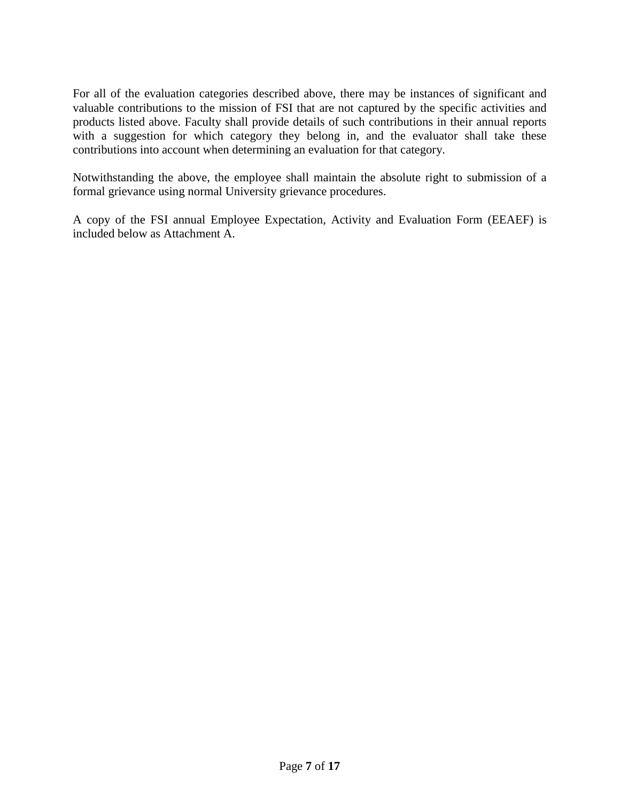For all of the evaluation categories described above, there may be instances of significant and valuable contributions to the mission of FSI that are not captured by the specific activities and products listed above. Faculty shall provide details of such contributions in their annual reports with a suggestion for which category they belong in, and the evaluator shall take these contributions into account when determining an evaluation for that category.

Notwithstanding the above, the employee shall maintain the absolute right to submission of a formal grievance using normal University grievance procedures.

A copy of the FSI annual Employee Expectation, Activity and Evaluation Form (EEAEF) is included below as Attachment A.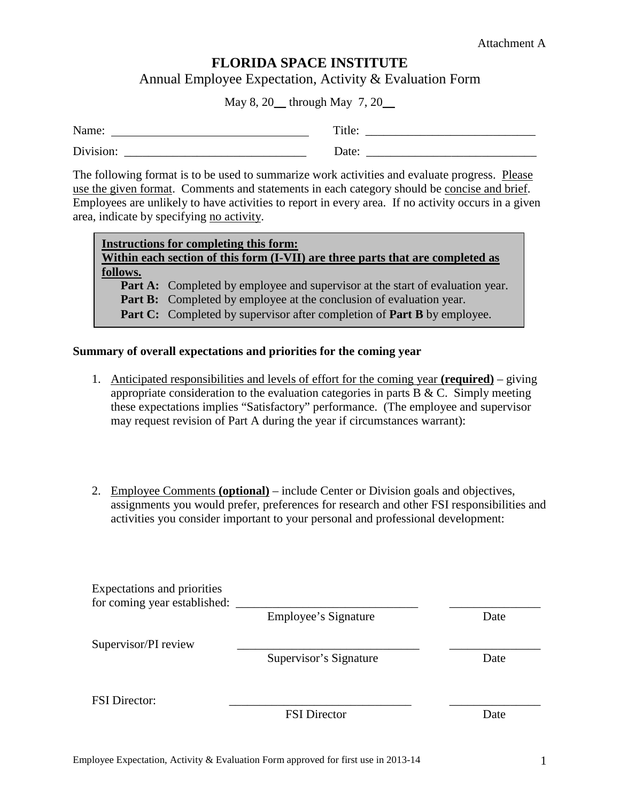# **FLORIDA SPACE INSTITUTE**

Annual Employee Expectation, Activity & Evaluation Form

May 8, 20 through May 7, 20

| Name:     | Title: |
|-----------|--------|
| Division: | Date:  |

The following format is to be used to summarize work activities and evaluate progress. Please use the given format. Comments and statements in each category should be concise and brief. Employees are unlikely to have activities to report in every area. If no activity occurs in a given area, indicate by specifying no activity.

|          | <b>Instructions for completing this form:</b>                                        |
|----------|--------------------------------------------------------------------------------------|
|          | Within each section of this form (I-VII) are three parts that are completed as       |
| follows. |                                                                                      |
|          | <b>Part A:</b> Completed by employee and supervisor at the start of evaluation year. |

**Part B:** Completed by employee at the conclusion of evaluation year.

**Part C:** Completed by supervisor after completion of **Part B** by employee.

## **Summary of overall expectations and priorities for the coming year**

- 1. Anticipated responsibilities and levels of effort for the coming year **(required)** giving appropriate consideration to the evaluation categories in parts  $B & C$ . Simply meeting these expectations implies "Satisfactory" performance. (The employee and supervisor may request revision of Part A during the year if circumstances warrant):
- 2. Employee Comments **(optional)** include Center or Division goals and objectives, assignments you would prefer, preferences for research and other FSI responsibilities and activities you consider important to your personal and professional development:

| Expectations and priorities<br>for coming year established: |                        |      |
|-------------------------------------------------------------|------------------------|------|
|                                                             | Employee's Signature   | Date |
| Supervisor/PI review                                        |                        |      |
|                                                             | Supervisor's Signature | Date |
|                                                             |                        |      |
| <b>FSI</b> Director:                                        |                        |      |
|                                                             | <b>FSI</b> Director    | Date |
|                                                             |                        |      |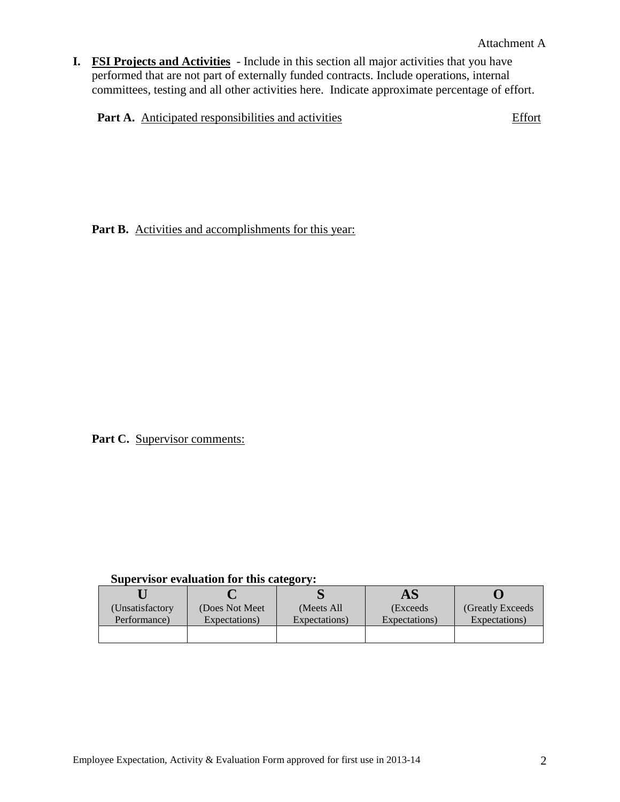**I. FSI Projects and Activities** - Include in this section all major activities that you have performed that are not part of externally funded contracts. Include operations, internal committees, testing and all other activities here. Indicate approximate percentage of effort.

**Part A.** Anticipated responsibilities and activities **Effort** 

Part B. Activities and accomplishments for this year:

Part C. Supervisor comments:

|                  |                 |               | A.S           |                   |
|------------------|-----------------|---------------|---------------|-------------------|
| (Unsatisfactory) | (Does Not Meet) | (Meets All)   | (Exceeds      | (Greatly Exceeds) |
| Performance)     | Expectations)   | Expectations) | Expectations) | Expectations)     |
|                  |                 |               |               |                   |
|                  |                 |               |               |                   |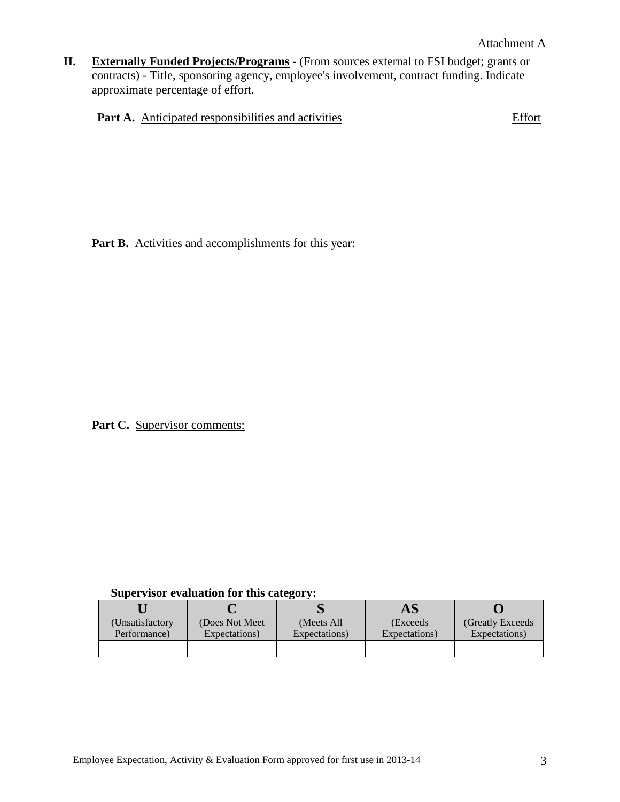**II. Externally Funded Projects/Programs** - (From sources external to FSI budget; grants or contracts) - Title, sponsoring agency, employee's involvement, contract funding. Indicate approximate percentage of effort.

|  | <b>Part A.</b> Anticipated responsibilities and activities | Effort |
|--|------------------------------------------------------------|--------|
|  |                                                            |        |

Part B. Activities and accomplishments for this year:

Part C. Supervisor comments:

|                 |               | AS            |                   |
|-----------------|---------------|---------------|-------------------|
| (Does Not Meet) | (Meets All)   | (Exceeds      | (Greatly Exceeds) |
| Expectations)   | Expectations) | Expectations) | Expectations)     |
|                 |               |               |                   |
|                 |               |               |                   |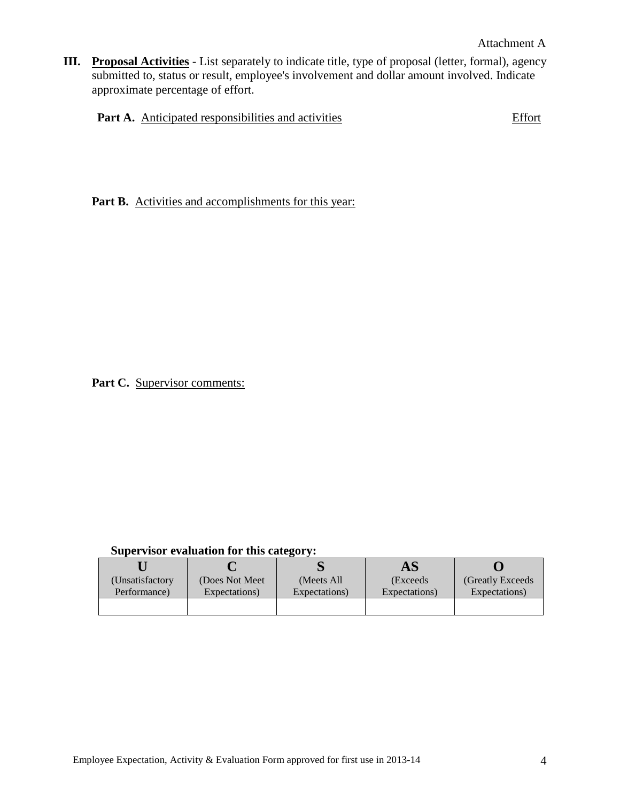**III. Proposal Activities** - List separately to indicate title, type of proposal (letter, formal), agency submitted to, status or result, employee's involvement and dollar amount involved. Indicate approximate percentage of effort.

|  | <b>Part A.</b> Anticipated responsibilities and activities | Effort |
|--|------------------------------------------------------------|--------|
|  |                                                            |        |

Part B. Activities and accomplishments for this year:

Part C. Supervisor comments:

|                 |               | AS            |                   |
|-----------------|---------------|---------------|-------------------|
| (Does Not Meet) | (Meets All    | (Exceeds      | (Greatly Exceeds) |
| Expectations)   | Expectations) | Expectations) | Expectations)     |
|                 |               |               |                   |
|                 |               |               |                   |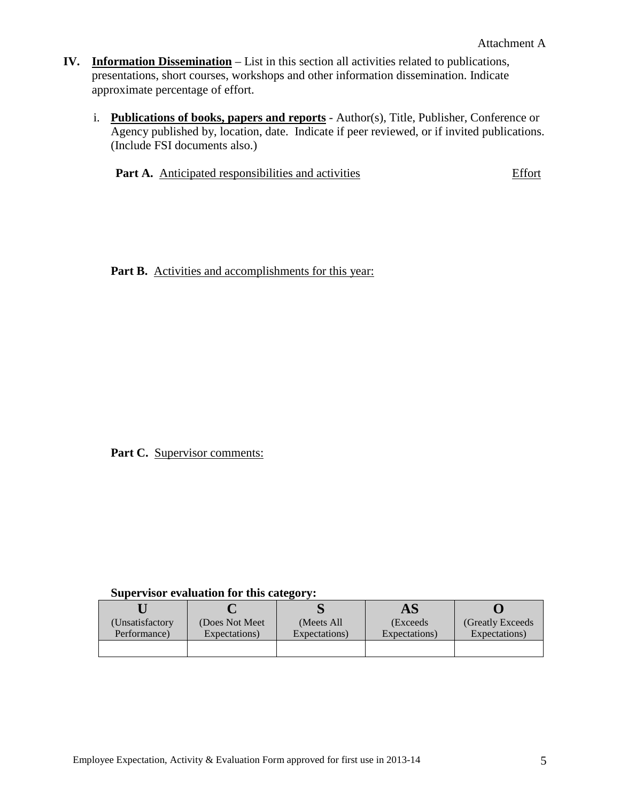- **IV. Information Dissemination** List in this section all activities related to publications, presentations, short courses, workshops and other information dissemination. Indicate approximate percentage of effort.
	- i. **Publications of books, papers and reports** Author(s), Title, Publisher, Conference or Agency published by, location, date. Indicate if peer reviewed, or if invited publications. (Include FSI documents also.)

**Part A.** Anticipated responsibilities and activities Effort

Part B. Activities and accomplishments for this year:

Part C. Supervisor comments:

|                |                 |               | AS            |                   |
|----------------|-----------------|---------------|---------------|-------------------|
| Unsatisfactory | (Does Not Meet) | (Meets All)   | (Exceeds      | (Greatly Exceeds) |
| Performance)   | Expectations)   | Expectations) | Expectations) | Expectations)     |
|                |                 |               |               |                   |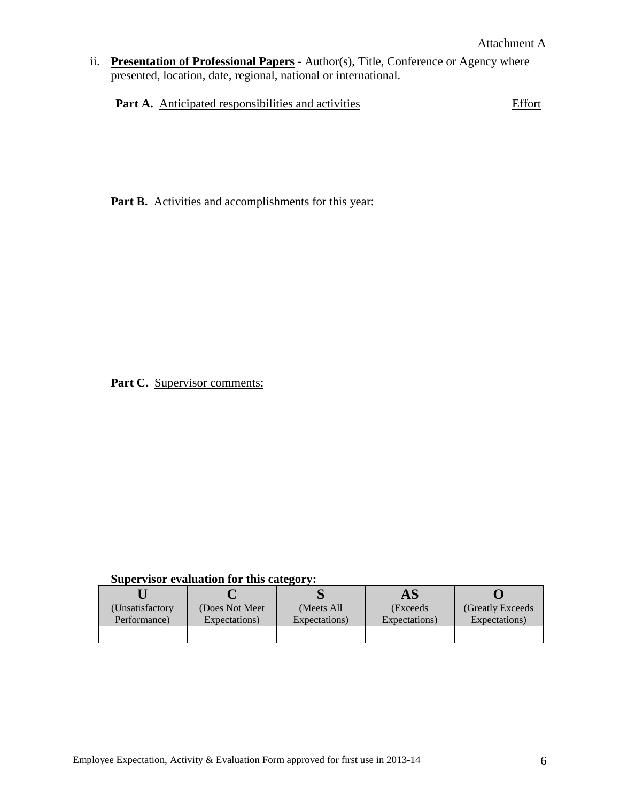ii. **Presentation of Professional Papers** - Author(s), Title, Conference or Agency where presented, location, date, regional, national or international.

Part A. Anticipated responsibilities and activities **Effort** 

Part B. Activities and accomplishments for this year:

Part C. Supervisor comments:

|                  |                 |               | AS            |                   |
|------------------|-----------------|---------------|---------------|-------------------|
| (Unsatisfactory) | (Does Not Meet) | (Meets All)   | (Exceeds      | (Greatly Exceeds) |
| Performance)     | Expectations)   | Expectations) | Expectations) | Expectations)     |
|                  |                 |               |               |                   |
|                  |                 |               |               |                   |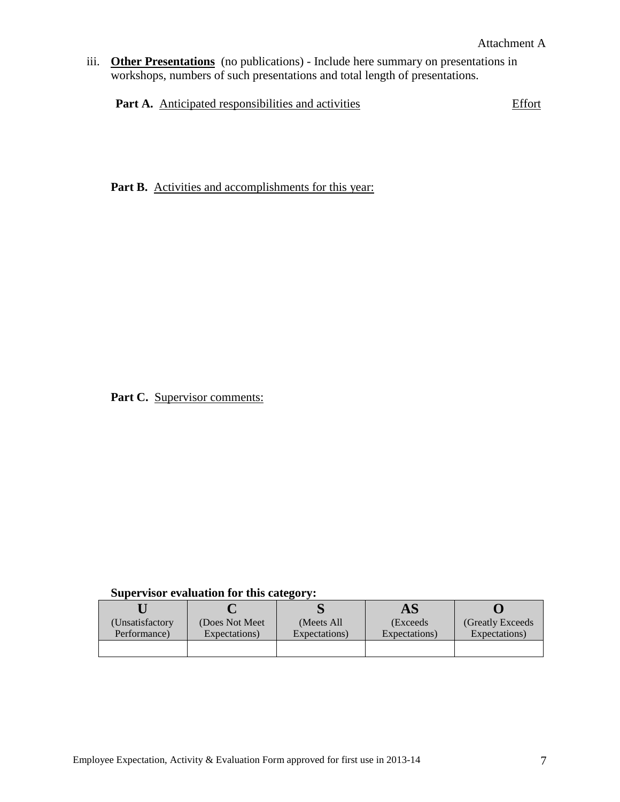iii. **Other Presentations** (no publications) - Include here summary on presentations in workshops, numbers of such presentations and total length of presentations.

Part A. Anticipated responsibilities and activities **Effort** 

Part B. Activities and accomplishments for this year:

Part C. Supervisor comments:

|                 |               | AS            |                   |
|-----------------|---------------|---------------|-------------------|
| (Does Not Meet) | (Meets All)   | (Exceeds      | (Greatly Exceeds) |
| Expectations)   | Expectations) | Expectations) | Expectations)     |
|                 |               |               |                   |
|                 |               |               |                   |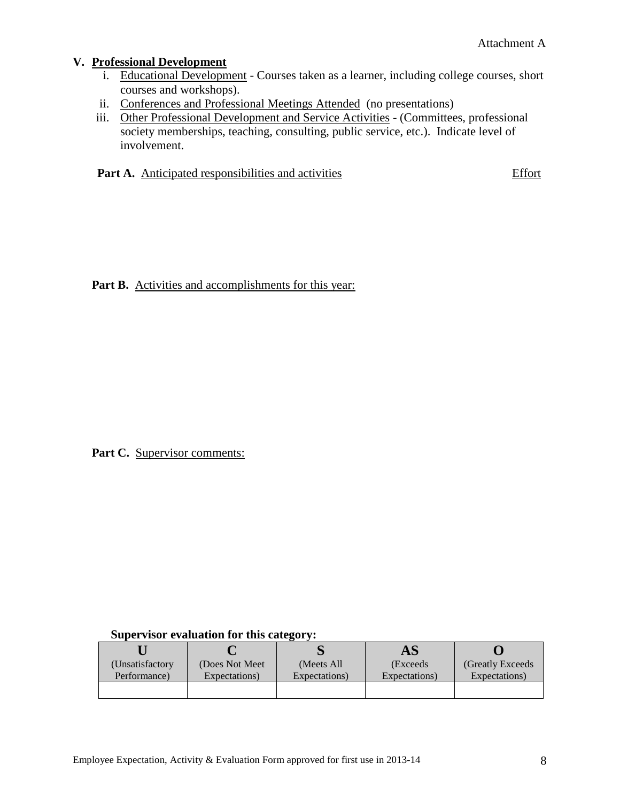## **V. Professional Development**

- i. Educational Development Courses taken as a learner, including college courses, short courses and workshops).
- ii. Conferences and Professional Meetings Attended (no presentations)
- iii. Other Professional Development and Service Activities (Committees, professional society memberships, teaching, consulting, public service, etc.). Indicate level of involvement.

**Part A.** Anticipated responsibilities and activities Effort

Part B. Activities and accomplishments for this year:

Part C. Supervisor comments:

|                  |                 |               | AS            |                   |
|------------------|-----------------|---------------|---------------|-------------------|
| (Unsatisfactory) | (Does Not Meet) | (Meets All)   | (Exceeds      | (Greatly Exceeds) |
| Performance)     | Expectations)   | Expectations) | Expectations) | Expectations)     |
|                  |                 |               |               |                   |
|                  |                 |               |               |                   |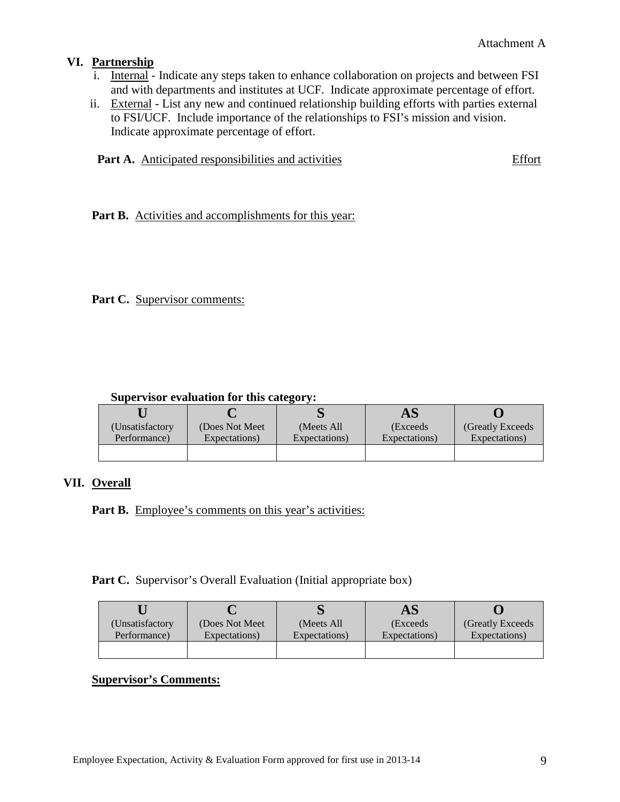## **VI. Partnership**

- i. Internal Indicate any steps taken to enhance collaboration on projects and between FSI and with departments and institutes at UCF. Indicate approximate percentage of effort.
- ii. External List any new and continued relationship building efforts with parties external to FSI/UCF. Include importance of the relationships to FSI's mission and vision. Indicate approximate percentage of effort.

|  |  | <b>Part A.</b> Anticipated responsibilities and activities | Effort |
|--|--|------------------------------------------------------------|--------|
|--|--|------------------------------------------------------------|--------|

Part B. Activities and accomplishments for this year:

## Part C. Supervisor comments:

#### **Supervisor evaluation for this category:**

|                  |                 |               | AS            |                   |
|------------------|-----------------|---------------|---------------|-------------------|
| (Unsatisfactory) | (Does Not Meet) | (Meets All)   | (Exceeds      | (Greatly Exceeds) |
| Performance)     | Expectations)   | Expectations) | Expectations) | Expectations)     |
|                  |                 |               |               |                   |

#### **VII. Overall**

Part B. Employee's comments on this year's activities:

Part C. Supervisor's Overall Evaluation (Initial appropriate box)

|                  |                 |               | AS            |                   |
|------------------|-----------------|---------------|---------------|-------------------|
| (Unsatisfactory) | (Does Not Meet) | (Meets All)   | (Exceeds)     | (Greatly Exceeds) |
| Performance)     | Expectations)   | Expectations) | Expectations) | Expectations)     |
|                  |                 |               |               |                   |

## **Supervisor's Comments:**